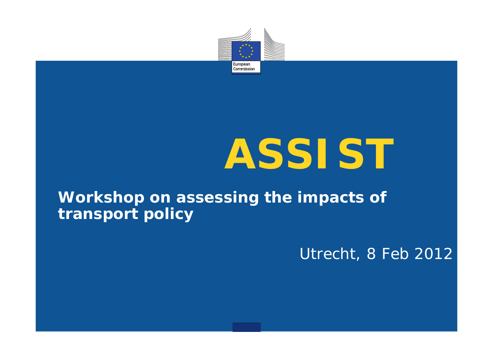

# **ASSIST**

#### **Workshop on assessing the impacts of transport policy**

Utrecht, 8 Feb 2012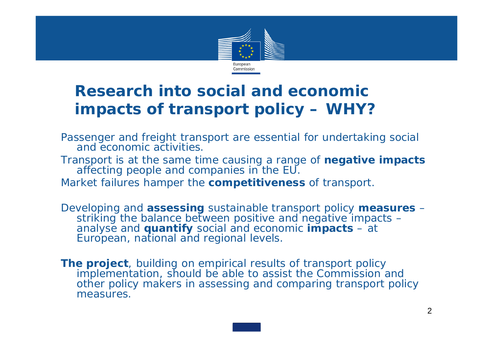

Passenger and freight transport are essential for undertaking social and economic activities.

Transport is at the same time causing a range of **negative impacts** affecting people and companies in the EU.

Market failures hamper the **competitiveness** of transport.

Developing and **assessing** sustainable transport policy **measures** – striking the balance between positive and negative impacts – analyse and **quantify** social and economic **impacts** – at European, national and regional levels.

**The project**, building on empirical results of transport policy implementation, should be able to assist the Commission and other policy makers in assessing and comparing transport policy measures.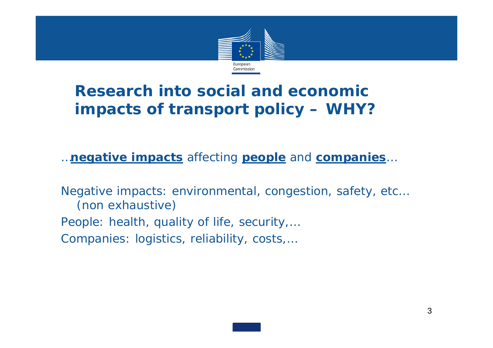

*…negative impacts affecting people and companies …*

Negative impacts: environmental, congestion, safety, etc… (non exhaustive)

People: health, quality of life, security,… Companies: logistics, reliability, costs,…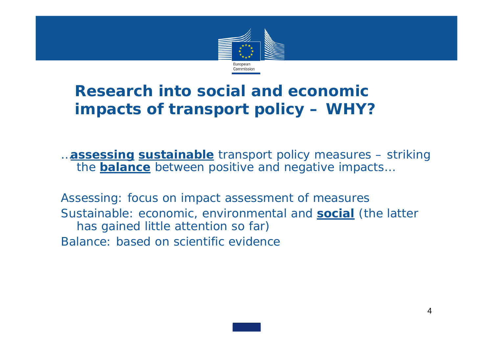

*…assessing sustainable transport policy measures – striking the balance between positive and negative impacts…* 

Assessing: focus on impact assessment of measures Sustainable: economic, environmental and **social** (the latter has gained little attention so far) Balance: based on scientific evidence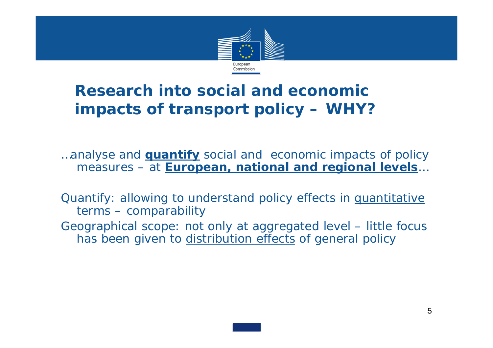

*…analyse and quantify social and economic impacts of policy measures – at European, national and regional levels …*

Quantify: allowing to understand policy effects in quantitative terms – comparability

Geographical scope: not only at aggregated level – little focus has been given to distribution effects of general policy